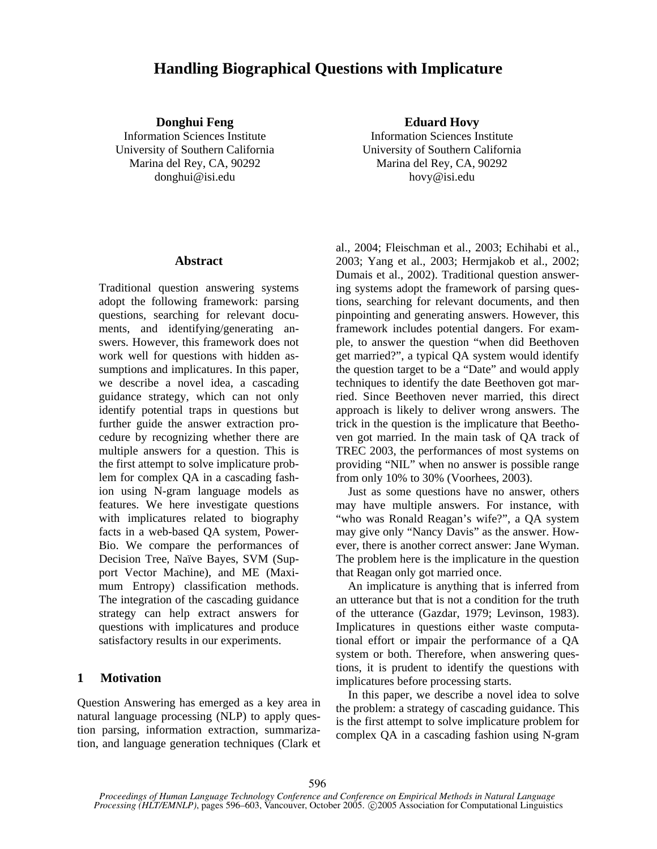# **Handling Biographical Questions with Implicature**

University of Southern California University of Southern California Marina del Rey, CA, 90292 Marina del Rey, CA, 90292 donghui@isi.edu hovy@isi.edu

**Donghui Feng Eduard Hovy** Information Sciences Institute Information Sciences Institute

# **Abstract**

Traditional question answering systems adopt the following framework: parsing questions, searching for relevant documents, and identifying/generating answers. However, this framework does not work well for questions with hidden assumptions and implicatures. In this paper, we describe a novel idea, a cascading guidance strategy, which can not only identify potential traps in questions but further guide the answer extraction procedure by recognizing whether there are multiple answers for a question. This is the first attempt to solve implicature problem for complex QA in a cascading fashion using N-gram language models as features. We here investigate questions with implicatures related to biography facts in a web-based QA system, Power-Bio. We compare the performances of Decision Tree, Naïve Bayes, SVM (Support Vector Machine), and ME (Maximum Entropy) classification methods. The integration of the cascading guidance strategy can help extract answers for questions with implicatures and produce satisfactory results in our experiments.

# **1 Motivation**

Question Answering has emerged as a key area in natural language processing (NLP) to apply question parsing, information extraction, summarization, and language generation techniques (Clark et al., 2004; Fleischman et al., 2003; Echihabi et al., 2003; Yang et al., 2003; Hermjakob et al., 2002; Dumais et al., 2002). Traditional question answering systems adopt the framework of parsing questions, searching for relevant documents, and then pinpointing and generating answers. However, this framework includes potential dangers. For example, to answer the question "when did Beethoven get married?", a typical QA system would identify the question target to be a "Date" and would apply techniques to identify the date Beethoven got married. Since Beethoven never married, this direct approach is likely to deliver wrong answers. The trick in the question is the implicature that Beethoven got married. In the main task of QA track of TREC 2003, the performances of most systems on providing "NIL" when no answer is possible range from only 10% to 30% (Voorhees, 2003).

Just as some questions have no answer, others may have multiple answers. For instance, with "who was Ronald Reagan's wife?", a QA system may give only "Nancy Davis" as the answer. However, there is another correct answer: Jane Wyman. The problem here is the implicature in the question that Reagan only got married once.

An implicature is anything that is inferred from an utterance but that is not a condition for the truth of the utterance (Gazdar, 1979; Levinson, 1983). Implicatures in questions either waste computational effort or impair the performance of a QA system or both. Therefore, when answering questions, it is prudent to identify the questions with implicatures before processing starts.

In this paper, we describe a novel idea to solve the problem: a strategy of cascading guidance. This is the first attempt to solve implicature problem for complex QA in a cascading fashion using N-gram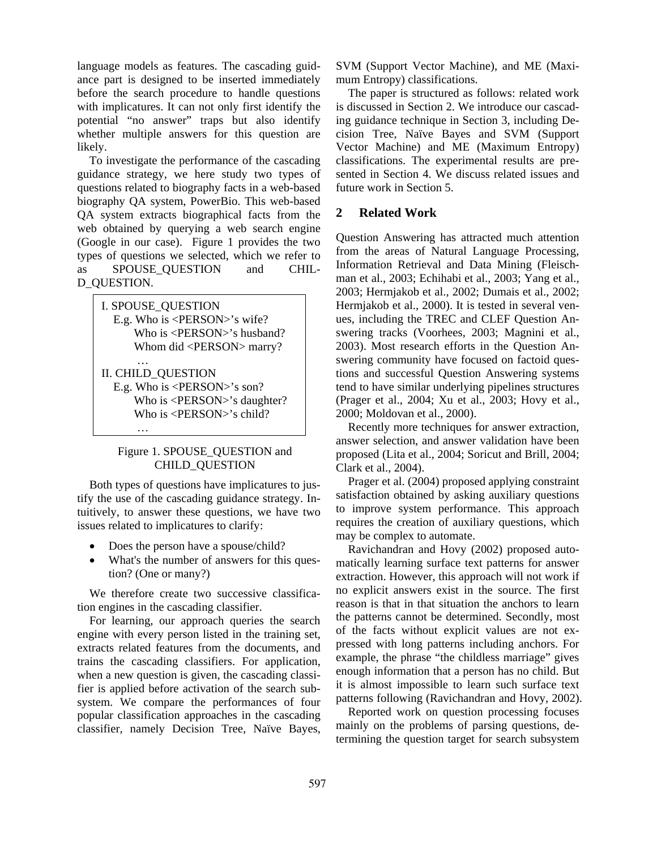language models as features. The cascading guidance part is designed to be inserted immediately before the search procedure to handle questions with implicatures. It can not only first identify the potential "no answer" traps but also identify whether multiple answers for this question are likely.

To investigate the performance of the cascading guidance strategy, we here study two types of questions related to biography facts in a web-based biography QA system, PowerBio. This web-based QA system extracts biographical facts from the web obtained by querying a web search engine (Google in our case). Figure 1 provides the two types of questions we selected, which we refer to as SPOUSE\_QUESTION and CHIL-D\_QUESTION.

I. SPOUSE\_QUESTION E.g. Who is <PERSON>'s wife? Who is <PERSON>'s husband? Whom did <PERSON> marry? … II. CHILD\_QUESTION E.g. Who is <PERSON>'s son? Who is <PERSON>'s daughter? Who is <PERSON>'s child?

…

# Figure 1. SPOUSE\_QUESTION and CHILD\_QUESTION

Both types of questions have implicatures to justify the use of the cascading guidance strategy. Intuitively, to answer these questions, we have two issues related to implicatures to clarify:

- Does the person have a spouse/child?
- What's the number of answers for this question? (One or many?)

We therefore create two successive classification engines in the cascading classifier.

For learning, our approach queries the search engine with every person listed in the training set, extracts related features from the documents, and trains the cascading classifiers. For application, when a new question is given, the cascading classifier is applied before activation of the search subsystem. We compare the performances of four popular classification approaches in the cascading classifier, namely Decision Tree, Naïve Bayes,

SVM (Support Vector Machine), and ME (Maximum Entropy) classifications.

The paper is structured as follows: related work is discussed in Section 2. We introduce our cascading guidance technique in Section 3, including Decision Tree, Naïve Bayes and SVM (Support Vector Machine) and ME (Maximum Entropy) classifications. The experimental results are presented in Section 4. We discuss related issues and future work in Section 5.

# **2 Related Work**

Question Answering has attracted much attention from the areas of Natural Language Processing, Information Retrieval and Data Mining (Fleischman et al., 2003; Echihabi et al., 2003; Yang et al., 2003; Hermjakob et al., 2002; Dumais et al., 2002; Hermjakob et al., 2000). It is tested in several venues, including the TREC and CLEF Question Answering tracks (Voorhees, 2003; Magnini et al., 2003). Most research efforts in the Question Answering community have focused on factoid questions and successful Question Answering systems tend to have similar underlying pipelines structures (Prager et al., 2004; Xu et al., 2003; Hovy et al., 2000; Moldovan et al., 2000).

Recently more techniques for answer extraction, answer selection, and answer validation have been proposed (Lita et al., 2004; Soricut and Brill, 2004; Clark et al., 2004).

Prager et al. (2004) proposed applying constraint satisfaction obtained by asking auxiliary questions to improve system performance. This approach requires the creation of auxiliary questions, which may be complex to automate.

Ravichandran and Hovy (2002) proposed automatically learning surface text patterns for answer extraction. However, this approach will not work if no explicit answers exist in the source. The first reason is that in that situation the anchors to learn the patterns cannot be determined. Secondly, most of the facts without explicit values are not expressed with long patterns including anchors. For example, the phrase "the childless marriage" gives enough information that a person has no child. But it is almost impossible to learn such surface text patterns following (Ravichandran and Hovy, 2002).

Reported work on question processing focuses mainly on the problems of parsing questions, determining the question target for search subsystem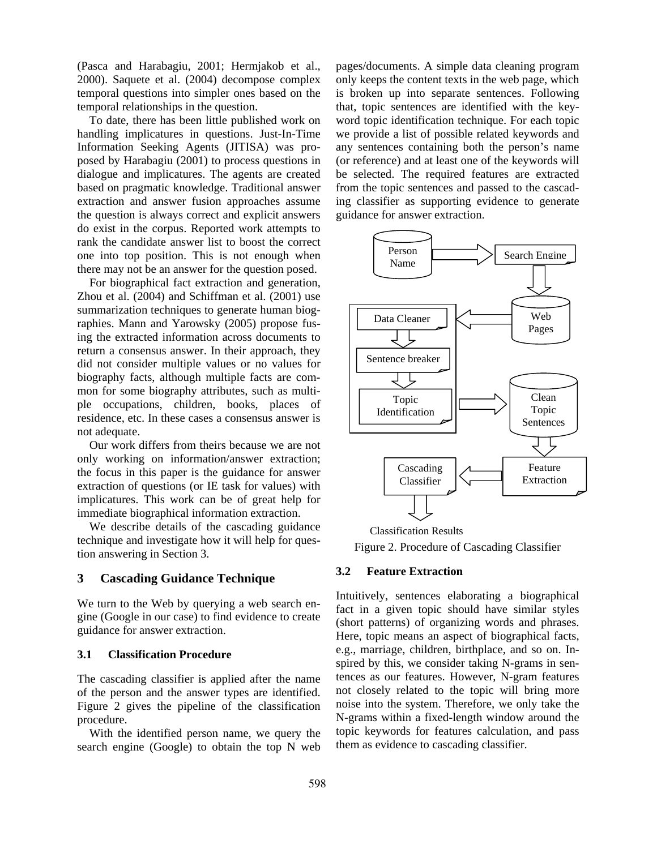(Pasca and Harabagiu, 2001; Hermjakob et al., 2000). Saquete et al. (2004) decompose complex temporal questions into simpler ones based on the temporal relationships in the question.

To date, there has been little published work on handling implicatures in questions. Just-In-Time Information Seeking Agents (JITISA) was proposed by Harabagiu (2001) to process questions in dialogue and implicatures. The agents are created based on pragmatic knowledge. Traditional answer extraction and answer fusion approaches assume the question is always correct and explicit answers do exist in the corpus. Reported work attempts to rank the candidate answer list to boost the correct one into top position. This is not enough when there may not be an answer for the question posed.

For biographical fact extraction and generation, Zhou et al. (2004) and Schiffman et al. (2001) use summarization techniques to generate human biographies. Mann and Yarowsky (2005) propose fusing the extracted information across documents to return a consensus answer. In their approach, they did not consider multiple values or no values for biography facts, although multiple facts are common for some biography attributes, such as multiple occupations, children, books, places of residence, etc. In these cases a consensus answer is not adequate.

Our work differs from theirs because we are not only working on information/answer extraction; the focus in this paper is the guidance for answer extraction of questions (or IE task for values) with implicatures. This work can be of great help for immediate biographical information extraction.

We describe details of the cascading guidance technique and investigate how it will help for question answering in Section 3.

# **3 Cascading Guidance Technique**

We turn to the Web by querying a web search engine (Google in our case) to find evidence to create guidance for answer extraction.

# **3.1 Classification Procedure**

The cascading classifier is applied after the name of the person and the answer types are identified. Figure 2 gives the pipeline of the classification procedure.

With the identified person name, we query the search engine (Google) to obtain the top N web

pages/documents. A simple data cleaning program only keeps the content texts in the web page, which is broken up into separate sentences. Following that, topic sentences are identified with the keyword topic identification technique. For each topic we provide a list of possible related keywords and any sentences containing both the person's name (or reference) and at least one of the keywords will be selected. The required features are extracted from the topic sentences and passed to the cascading classifier as supporting evidence to generate guidance for answer extraction.



Figure 2. Procedure of Cascading Classifier Classification Results

## **3.2 Feature Extraction**

Intuitively, sentences elaborating a biographical fact in a given topic should have similar styles (short patterns) of organizing words and phrases. Here, topic means an aspect of biographical facts, e.g., marriage, children, birthplace, and so on. Inspired by this, we consider taking N-grams in sentences as our features. However, N-gram features not closely related to the topic will bring more noise into the system. Therefore, we only take the N-grams within a fixed-length window around the topic keywords for features calculation, and pass them as evidence to cascading classifier.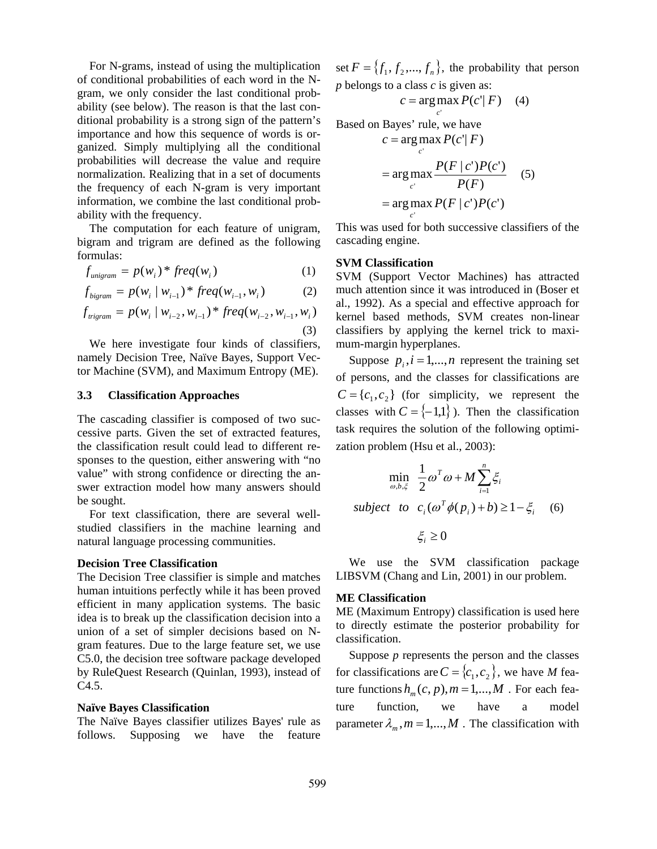For N-grams, instead of using the multiplication of conditional probabilities of each word in the Ngram, we only consider the last conditional probability (see below). The reason is that the last conditional probability is a strong sign of the pattern's importance and how this sequence of words is organized. Simply multiplying all the conditional probabilities will decrease the value and require normalization. Realizing that in a set of documents the frequency of each N-gram is very important information, we combine the last conditional probability with the frequency.

The computation for each feature of unigram, bigram and trigram are defined as the following formulas:

$$
f_{\text{unigram}} = p(w_i)^* \text{freq}(w_i) \tag{1}
$$

$$
f_{bigram} = p(w_i \mid w_{i-1}) * freq(w_{i-1}, w_i)
$$
 (2)

$$
f_{\text{trigram}} = p(w_i \mid w_{i-2}, w_{i-1})^* \text{freq}(w_{i-2}, w_{i-1}, w_i)
$$
\n(3)

We here investigate four kinds of classifiers, namely Decision Tree, Naïve Bayes, Support Vector Machine (SVM), and Maximum Entropy (ME).

# **3.3 Classification Approaches**

The cascading classifier is composed of two successive parts. Given the set of extracted features, the classification result could lead to different responses to the question, either answering with "no value" with strong confidence or directing the answer extraction model how many answers should be sought.

For text classification, there are several wellstudied classifiers in the machine learning and natural language processing communities.

### **Decision Tree Classification**

The Decision Tree classifier is simple and matches human intuitions perfectly while it has been proved efficient in many application systems. The basic idea is to break up the classification decision into a union of a set of simpler decisions based on Ngram features. Due to the large feature set, we use C5.0, the decision tree software package developed by RuleQuest Research (Quinlan, 1993), instead of C4.5.

## **Naïve Bayes Classification**

The Naïve Bayes classifier utilizes Bayes' rule as follows. Supposing we have the feature set  $F = \{f_1, f_2, ..., f_n\}$ , the probability that person *p* belongs to a class *c* is given as:

$$
c = \arg \max_{c'} P(c'|F) \quad (4)
$$

Based on Bayes' rule, we have

$$
c = \arg\max_{c'} P(c'|F)
$$
  
= 
$$
\arg\max_{c'} \frac{P(F|c')P(c')}{P(F)}
$$
 (5)  
= 
$$
\arg\max_{c'} P(F|c')P(c')
$$

This was used for both successive classifiers of the cascading engine.

#### **SVM Classification**

SVM (Support Vector Machines) has attracted much attention since it was introduced in (Boser et al., 1992). As a special and effective approach for kernel based methods, SVM creates non-linear classifiers by applying the kernel trick to maximum-margin hyperplanes.

Suppose  $p_i$ ,  $i = 1,...,n$  represent the training set of persons, and the classes for classifications are  $C = \{c_1, c_2\}$  (for simplicity, we represent the classes with  $C = \{-1,1\}$ ). Then the classification task requires the solution of the following optimization problem (Hsu et al., 2003):

$$
\min_{\omega, b, \xi} \frac{1}{2} \omega^T \omega + M \sum_{i=1}^n \xi_i
$$
\n
$$
\text{subject to } c_i (\omega^T \phi(p_i) + b) \ge 1 - \xi_i \quad (6)
$$
\n
$$
\xi_i \ge 0
$$

We use the SVM classification package LIBSVM (Chang and Lin, 2001) in our problem.

## **ME Classification**

ME (Maximum Entropy) classification is used here to directly estimate the posterior probability for classification.

Suppose *p* represents the person and the classes for classifications are  $C = \{c_1, c_2\}$ , we have *M* feature functions  $h_m(c, p), m = 1, ..., M$ . For each feature function, we have a model parameter  $\lambda_m$ ,  $m = 1,...,M$ . The classification with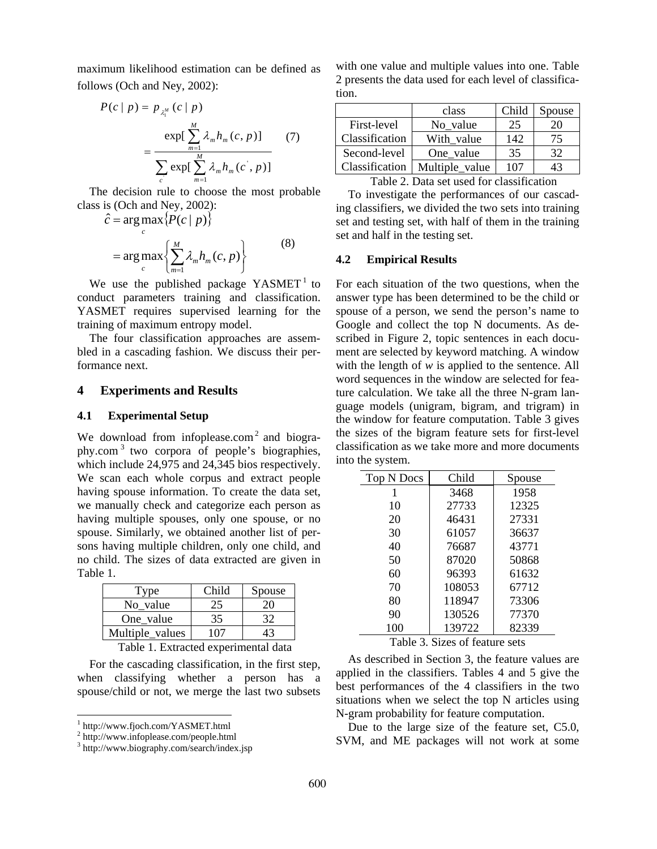maximum likelihood estimation can be defined as follows (Och and Ney, 2002):

$$
P(c | p) = p_{\lambda_1^M}(c | p)
$$
  
= 
$$
\frac{\exp[\sum_{m=1}^M \lambda_m h_m(c, p)]}{\sum_{c} \exp[\sum_{m=1}^M \lambda_m h_m(c, p)]}
$$
 (7)

The decision rule to choose the most probable class is (Och and Ney, 2002):

$$
\hat{c} = \underset{c}{\arg \max} \{ P(c | p) \}
$$

$$
= \underset{c}{\arg \max} \{ \sum_{m=1}^{M} \lambda_m h_m(c, p) \}
$$
(8)

We use the published package  $YASMET<sup>1</sup>$  to conduct parameters training and classification. YASMET requires supervised learning for the training of maximum entropy model.

The four classification approaches are assembled in a cascading fashion. We discuss their performance next.

## **4 Experiments and Results**

#### **4.1 Experimental Setup**

We download from infoplease.com<sup>2</sup> and biography.com 3 two corpora of people's biographies, which include 24,975 and 24,345 bios respectively. We scan each whole corpus and extract people having spouse information. To create the data set, we manually check and categorize each person as having multiple spouses, only one spouse, or no spouse. Similarly, we obtained another list of persons having multiple children, only one child, and no child. The sizes of data extracted are given in Table 1.

| Type            | Child | Spouse |
|-----------------|-------|--------|
| No value        |       |        |
| One value       | 35    |        |
| Multiple_values | -07   |        |

Table 1. Extracted experimental data

For the cascading classification, in the first step, when classifying whether a person has a spouse/child or not, we merge the last two subsets

with one value and multiple values into one. Table 2 presents the data used for each level of classification.

|                | class          | Child | Spouse |
|----------------|----------------|-------|--------|
| First-level    | No value       | 25    | 20     |
| Classification | With value     | 142   | 75     |
| Second-level   | One value      | 35    | 32     |
| Classification | Multiple_value | 107   | 43     |

Table 2. Data set used for classification

To investigate the performances of our cascading classifiers, we divided the two sets into training set and testing set, with half of them in the training set and half in the testing set.

## **4.2 Empirical Results**

For each situation of the two questions, when the answer type has been determined to be the child or spouse of a person, we send the person's name to Google and collect the top N documents. As described in Figure 2, topic sentences in each document are selected by keyword matching. A window with the length of *w* is applied to the sentence. All word sequences in the window are selected for feature calculation. We take all the three N-gram language models (unigram, bigram, and trigram) in the window for feature computation. Table 3 gives the sizes of the bigram feature sets for first-level classification as we take more and more documents into the system.

| Top N Docs | Child  | Spouse |
|------------|--------|--------|
| 1          | 3468   | 1958   |
| 10         | 27733  | 12325  |
| 20         | 46431  | 27331  |
| 30         | 61057  | 36637  |
| 40         | 76687  | 43771  |
| 50         | 87020  | 50868  |
| 60         | 96393  | 61632  |
| 70         | 108053 | 67712  |
| 80         | 118947 | 73306  |
| 90         | 130526 | 77370  |
| 100        | 139722 | 82339  |

Table 3. Sizes of feature sets

As described in Section 3, the feature values are applied in the classifiers. Tables 4 and 5 give the best performances of the 4 classifiers in the two situations when we select the top N articles using N-gram probability for feature computation.

Due to the large size of the feature set, C5.0, SVM, and ME packages will not work at some

 1 http://www.fjoch.com/YASMET.html

 $^{2}$  http://www.infoplease.com/people.html<br> $^{3}$  http://www.biography.com/search/index

<sup>&</sup>lt;sup>3</sup> http://www.biography.com/search/index.jsp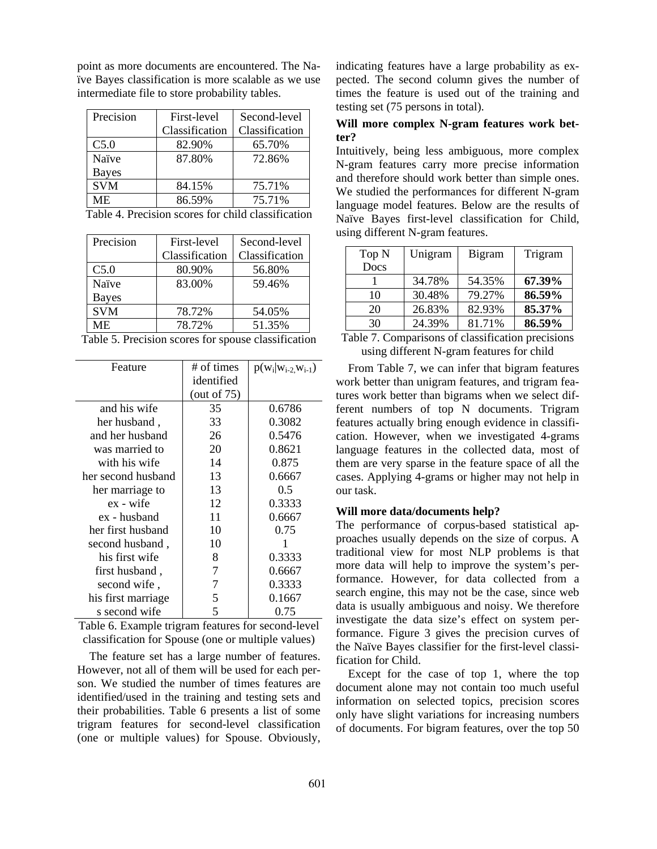point as more documents are encountered. The Naïve Bayes classification is more scalable as we use intermediate file to store probability tables.

| Precision    | First-level    | Second-level   |
|--------------|----------------|----------------|
|              | Classification | Classification |
| C5.0         | 82.90%         | 65.70%         |
| Naïve        | 87.80%         | 72.86%         |
| <b>Bayes</b> |                |                |
| <b>SVM</b>   | 84.15%         | 75.71%         |
| ME.          | 86.59%         | 75.71%         |

Table 4. Precision scores for child classification

| Precision    | First-level    | Second-level   |
|--------------|----------------|----------------|
|              | Classification | Classification |
| C5.0         | 80.90%         | 56.80%         |
| Naïve        | 83.00%         | 59.46%         |
| <b>Bayes</b> |                |                |
| <b>SVM</b>   | 78.72%         | 54.05%         |
| МE           | 78.72%         | 51.35%         |
|              |                |                |

Table 5. Precision scores for spouse classification

| Feature            | # of times     | $p(w_i w_{i-2},w_{i-1})$ |
|--------------------|----------------|--------------------------|
|                    | identified     |                          |
|                    | (out of $75$ ) |                          |
| and his wife       | 35             | 0.6786                   |
| her husband,       | 33             | 0.3082                   |
| and her husband    | 26             | 0.5476                   |
| was married to     | 20             | 0.8621                   |
| with his wife      | 14             | 0.875                    |
| her second husband | 13             | 0.6667                   |
| her marriage to    | 13             | 0.5                      |
| ex - wife          | 12             | 0.3333                   |
| ex - husband       | 11             | 0.6667                   |
| her first husband  | 10             | 0.75                     |
| second husband,    | 10             |                          |
| his first wife     | 8              | 0.3333                   |
| first husband,     | 7              | 0.6667                   |
| second wife,       | 7              | 0.3333                   |
| his first marriage | 5              | 0.1667                   |
| s second wife      | 5              | 0.75                     |

Table 6. Example trigram features for second-level classification for Spouse (one or multiple values)

The feature set has a large number of features. However, not all of them will be used for each person. We studied the number of times features are identified/used in the training and testing sets and their probabilities. Table 6 presents a list of some trigram features for second-level classification (one or multiple values) for Spouse. Obviously, indicating features have a large probability as expected. The second column gives the number of times the feature is used out of the training and testing set (75 persons in total).

# **Will more complex N-gram features work better?**

Intuitively, being less ambiguous, more complex N-gram features carry more precise information and therefore should work better than simple ones. We studied the performances for different N-gram language model features. Below are the results of Naïve Bayes first-level classification for Child, using different N-gram features.

| Top N | Unigram | <b>Bigram</b> | Trigram |
|-------|---------|---------------|---------|
| Docs  |         |               |         |
|       | 34.78%  | 54.35%        | 67.39%  |
| 10    | 30.48%  | 79.27%        | 86.59%  |
| 20    | 26.83%  | 82.93%        | 85.37%  |
| 30    | 24.39%  | 81.71%        | 86.59%  |

Table 7. Comparisons of classification precisions using different N-gram features for child

From Table 7, we can infer that bigram features work better than unigram features, and trigram features work better than bigrams when we select different numbers of top N documents. Trigram features actually bring enough evidence in classification. However, when we investigated 4-grams language features in the collected data, most of them are very sparse in the feature space of all the cases. Applying 4-grams or higher may not help in our task.

#### **Will more data/documents help?**

The performance of corpus-based statistical approaches usually depends on the size of corpus. A traditional view for most NLP problems is that more data will help to improve the system's performance. However, for data collected from a search engine, this may not be the case, since web data is usually ambiguous and noisy. We therefore investigate the data size's effect on system performance. Figure 3 gives the precision curves of the Naïve Bayes classifier for the first-level classification for Child.

Except for the case of top 1, where the top document alone may not contain too much useful information on selected topics, precision scores only have slight variations for increasing numbers of documents. For bigram features, over the top 50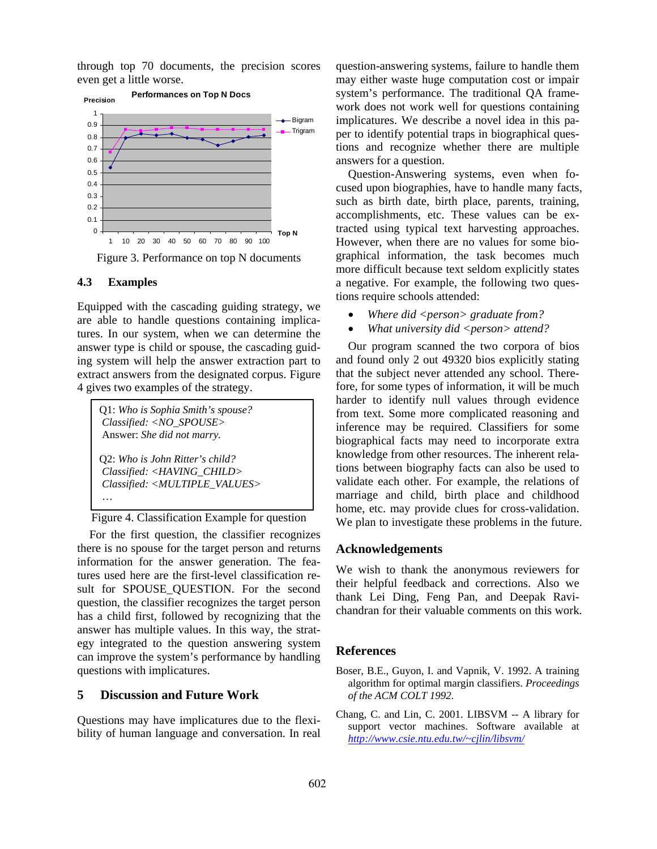through top 70 documents, the precision scores even get a little worse.



Figure 3. Performance on top N documents

# **4.3 Examples**

Equipped with the cascading guiding strategy, we are able to handle questions containing implicatures. In our system, when we can determine the answer type is child or spouse, the cascading guiding system will help the answer extraction part to extract answers from the designated corpus. Figure 4 gives two examples of the strategy.

| Q1: Who is Sophia Smith's spouse?<br>Classified: <no_spouse><br/>Answer: She did not marry.</no_spouse>                          |  |
|----------------------------------------------------------------------------------------------------------------------------------|--|
| O2: Who is John Ritter's child?<br>Classified: <having_child><br/>Classified: <multiple_values></multiple_values></having_child> |  |

Figure 4. Classification Example for question

For the first question, the classifier recognizes there is no spouse for the target person and returns information for the answer generation. The features used here are the first-level classification result for SPOUSE\_QUESTION. For the second question, the classifier recognizes the target person has a child first, followed by recognizing that the answer has multiple values. In this way, the strategy integrated to the question answering system can improve the system's performance by handling questions with implicatures.

# **5 Discussion and Future Work**

Questions may have implicatures due to the flexibility of human language and conversation. In real question-answering systems, failure to handle them may either waste huge computation cost or impair system's performance. The traditional QA framework does not work well for questions containing implicatures. We describe a novel idea in this paper to identify potential traps in biographical questions and recognize whether there are multiple answers for a question.

Question-Answering systems, even when focused upon biographies, have to handle many facts, such as birth date, birth place, parents, training, accomplishments, etc. These values can be extracted using typical text harvesting approaches. However, when there are no values for some biographical information, the task becomes much more difficult because text seldom explicitly states a negative. For example, the following two questions require schools attended:

- *Where did <person> graduate from?*
- *What university did <person> attend?*

Our program scanned the two corpora of bios and found only 2 out 49320 bios explicitly stating that the subject never attended any school. Therefore, for some types of information, it will be much harder to identify null values through evidence from text. Some more complicated reasoning and inference may be required. Classifiers for some biographical facts may need to incorporate extra knowledge from other resources. The inherent relations between biography facts can also be used to validate each other. For example, the relations of marriage and child, birth place and childhood home, etc. may provide clues for cross-validation. We plan to investigate these problems in the future.

## **Acknowledgements**

We wish to thank the anonymous reviewers for their helpful feedback and corrections. Also we thank Lei Ding, Feng Pan, and Deepak Ravichandran for their valuable comments on this work.

# **References**

- Boser, B.E., Guyon, I. and Vapnik, V. 1992. A training algorithm for optimal margin classifiers. *Proceedings of the ACM COLT 1992*.
- Chang, C. and Lin, C. 2001. LIBSVM -- A library for support vector machines. Software available at *http://www.csie.ntu.edu.tw/~cjlin/libsvm/*